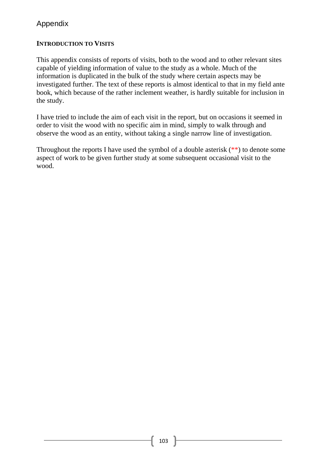# **INTRODUCTION TO VISITS**

This appendix consists of reports of visits, both to the wood and to other relevant sites capable of yielding information of value to the study as a whole. Much of the information is duplicated in the bulk of the study where certain aspects may be investigated further. The text of these reports is almost identical to that in my field ante book, which because of the rather inclement weather, is hardly suitable for inclusion in the study.

I have tried to include the aim of each visit in the report, but on occasions it seemed in order to visit the wood with no specific aim in mind, simply to walk through and observe the wood as an entity, without taking a single narrow line of investigation.

Throughout the reports I have used the symbol of a double asterisk  $(**)$  to denote some aspect of work to be given further study at some subsequent occasional visit to the wood.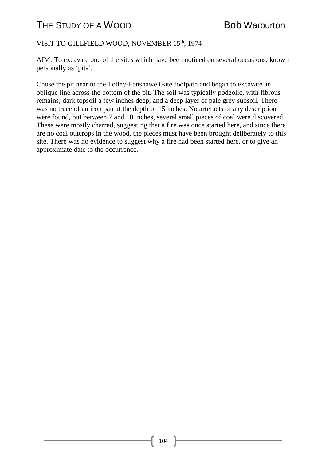### VISIT TO GILLFIELD WOOD, NOVEMBER 15<sup>th</sup>, 1974

AIM: To excavate one of the sites which have been noticed on several occasions, known personally as 'pits'.

Chose the pit near to the Totley-Fanshawe Gate footpath and began to excavate an oblique line across the bottom of the pit. The soil was typically podzolic, with fibrous remains; dark topsoil a few inches deep; and a deep layer of pale grey subsoil. There was no trace of an iron pan at the depth of 15 inches. No artefacts of any description were found, but between 7 and 10 inches, several small pieces of coal were discovered. These were mostly charred, suggesting that a fire was once started here, and since there are no coal outcrops in the wood, the pieces must have been brought deliberately to this site. There was no evidence to suggest why a fire had been started here, or to give an approximate date to the occurrence.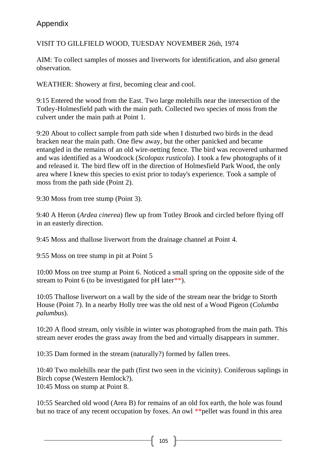VISIT TO GILLFIELD WOOD, TUESDAY NOVEMBER 26th, 1974

AIM: To collect samples of mosses and liverworts for identification, and also general observation.

WEATHER: Showery at first, becoming clear and cool.

9:15 Entered the wood from the East. Two large molehills near the intersection of the Totley-Holmesfield path with the main path. Collected two species of moss from the culvert under the main path at Point 1.

9:20 About to collect sample from path side when I disturbed two birds in the dead bracken near the main path. One flew away, but the other panicked and became entangled in the remains of an old wire-netting fence. The bird was recovered unharmed and was identified as a Woodcock (*Scolopax rusticola*). I took a few photographs of it and released it. The bird flew off in the direction of Holmesfield Park Wood, the only area where I knew this species to exist prior to today's experience. Took a sample of moss from the path side (Point 2).

9:30 Moss from tree stump (Point 3).

9:40 A Heron (*Ardea cinerea*) flew up from Totley Brook and circled before flying off in an easterly direction.

9:45 Moss and thallose liverwort from the drainage channel at Point 4.

9:55 Moss on tree stump in pit at Point 5

10:00 Moss on tree stump at Point 6. Noticed a small spring on the opposite side of the stream to Point 6 (to be investigated for  $pH$  later<sup>\*\*</sup>).

10:05 Thallose liverwort on a wall by the side of the stream near the bridge to Storth House (Point 7). In a nearby Holly tree was the old nest of a Wood Pigeon (*Columba palumbus*).

10:20 A flood stream, only visible in winter was photographed from the main path. This stream never erodes the grass away from the bed and virtually disappears in summer.

10:35 Dam formed in the stream (naturally?) formed by fallen trees.

10:40 Two molehills near the path (first two seen in the vicinity). Coniferous saplings in Birch copse (Western Hemlock?). 10:45 Moss on stump at Point 8.

10:55 Searched old wood (Area B) for remains of an old fox earth, the hole was found but no trace of any recent occupation by foxes. An owl \*\* pellet was found in this area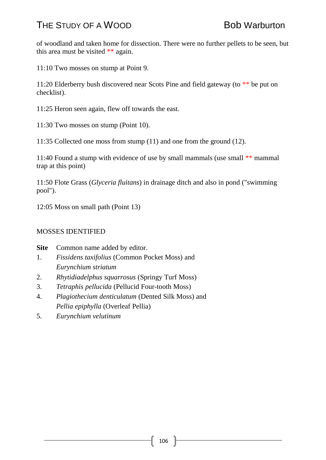of woodland and taken home for dissection. There were no further pellets to be seen, but this area must be visited \*\* again.

11:10 Two mosses on stump at Point 9.

11:20 Elderberry bush discovered near Scots Pine and field gateway (to \*\* be put on checklist).

11:25 Heron seen again, flew off towards the east.

11:30 Two mosses on stump (Point 10).

11:35 Collected one moss from stump (11) and one from the ground (12).

11:40 Found a stump with evidence of use by small mammals (use small \*\* mammal trap at this point)

11:50 Flote Grass (*Glyceria fluitans*) in drainage ditch and also in pond ("swimming pool").

12:05 Moss on small path (Point 13)

### MOSSES IDENTIFIED

**Site** Common name added by editor.

- 1. *Fissidens taxifolius* (Common Pocket Moss) and *Eurynchium striatum*
- 2. *Rhytidiadelphus squarrosus* (Springy Turf Moss)
- 3. *Tetraphis pellucida* (Pellucid Four-tooth Moss)
- 4. *Plagiothecium denticulatum* (Dented Silk Moss) and *Pellia epiphylla* (Overleaf Pellia)
- 5. *Eurynchium velutinum*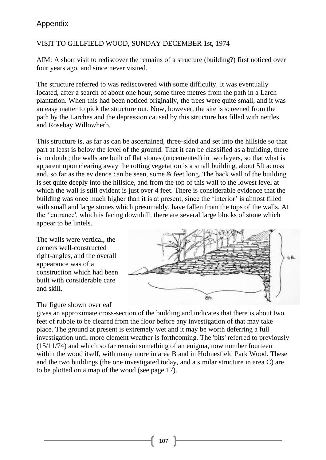### VISIT TO GILLFIELD WOOD, SUNDAY DECEMBER 1st, 1974

AIM: A short visit to rediscover the remains of a structure (building?) first noticed over four years ago, and since never visited.

The structure referred to was rediscovered with some difficulty. It was eventually located, after a search of about one hour, some three metres from the path in a Larch plantation. When this had been noticed originally, the trees were quite small, and it was an easy matter to pick the structure out. Now, however, the site is screened from the path by the Larches and the depression caused by this structure has filled with nettles and Rosebay Willowherb.

This structure is, as far as can be ascertained, three-sided and set into the hillside so that part at least is below the level of the ground. That it can be classified as a building, there is no doubt; the walls are built of flat stones (uncemented) in two layers, so that what is apparent upon clearing away the rotting vegetation is a small building, about 5ft across and, so far as the evidence can be seen, some & feet long. The back wall of the building is set quite deeply into the hillside, and from the top of this wall to the lowest level at which the wall is still evident is just over 4 feet. There is considerable evidence that the building was once much higher than it is at present, since the 'interior' is almost filled with small and large stones which presumably, have fallen from the tops of the walls. At the ''entrance', which is facing downhill, there are several large blocks of stone which appear to be lintels.

The walls were vertical, the corners well-constructed right-angles, and the overall appearance was of a construction which had been built with considerable care and skill.



#### The figure shown overleaf

gives an approximate cross-section of the building and indicates that there is about two feet of rubble to be cleared from the floor before any investigation of that may take place. The ground at present is extremely wet and it may be worth deferring a full investigation until more clement weather is forthcoming. The 'pits' referred to previously (15/11/74) and which so far remain something of an enigma, now number fourteen within the wood itself, with many more in area B and in Holmesfield Park Wood. These and the two buildings (the one investigated today, and a similar structure in area C) are to be plotted on a map of the wood (see page 17).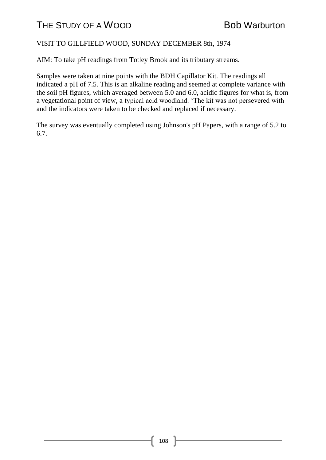### VISIT TO GILLFIELD WOOD, SUNDAY DECEMBER 8th, 1974

AIM: To take pH readings from Totley Brook and its tributary streams.

Samples were taken at nine points with the BDH Capillator Kit. The readings all indicated a pH of 7.5. This is an alkaline reading and seemed at complete variance with the soil pH figures, which averaged between 5.0 and 6.0, acidic figures for what is, from a vegetational point of view, a typical acid woodland. 'The kit was not persevered with and the indicators were taken to be checked and replaced if necessary.

The survey was eventually completed using Johnson's pH Papers, with a range of 5.2 to 6.7.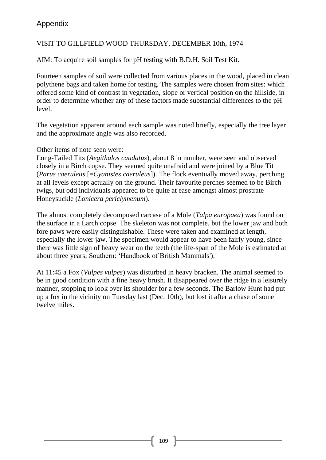### VISIT TO GILLFIELD WOOD THURSDAY, DECEMBER 10th, 1974

AIM: To acquire soil samples for pH testing with B.D.H. Soil Test Kit.

Fourteen samples of soil were collected from various places in the wood, placed in clean polythene bags and taken home for testing. The samples were chosen from sites: which offered some kind of contrast in vegetation, slope or vertical position on the hillside, in order to determine whether any of these factors made substantial differences to the pH level.

The vegetation apparent around each sample was noted briefly, especially the tree layer and the approximate angle was also recorded.

#### Other items of note seen were:

Long-Tailed Tits (*Aegithalos caudatus*), about 8 in number, were seen and observed closely in a Birch copse. They seemed quite unafraid and were joined by a Blue Tit (*Parus caeruleus* [=*Cyanistes caeruleus*]). The flock eventually moved away, perching at all levels except actually on the ground. Their favourite perches seemed to be Birch twigs, but odd individuals appeared to be quite at ease amongst almost prostrate Honeysuckle (*Lonicera periclymenum*).

The almost completely decomposed carcase of a Mole (*Talpa europaea*) was found on the surface in a Larch copse. The skeleton was not complete, but the lower jaw and both fore paws were easily distinguishable. These were taken and examined at length, especially the lower jaw. The specimen would appear to have been fairly young, since there was little sign of heavy wear on the teeth (the life-span of the Mole is estimated at about three years; Southern: 'Handbook of British Mammals').

At 11:45 a Fox (*Vulpes vulpes*) was disturbed in heavy bracken. The animal seemed to be in good condition with a fine heavy brush. It disappeared over the ridge in a leisurely manner, stopping to look over its shoulder for a few seconds. The Barlow Hunt had put up a fox in the vicinity on Tuesday last (Dec. 10th), but lost it after a chase of some twelve miles.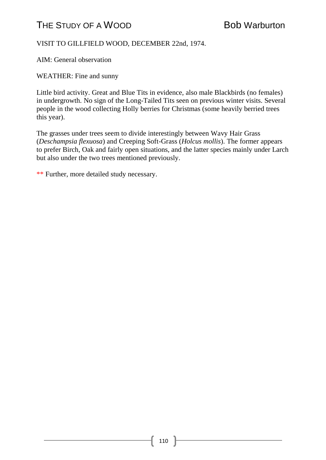### VISIT TO GILLFIELD WOOD, DECEMBER 22nd, 1974.

AIM: General observation

WEATHER: Fine and sunny

Little bird activity. Great and Blue Tits in evidence, also male Blackbirds (no females) in undergrowth. No sign of the Long-Tailed Tits seen on previous winter visits. Several people in the wood collecting Holly berries for Christmas (some heavily berried trees this year).

The grasses under trees seem to divide interestingly between Wavy Hair Grass (*Deschampsia flexuosa*) and Creeping Soft-Grass (*Holcus mollis*). The former appears to prefer Birch, Oak and fairly open situations, and the latter species mainly under Larch but also under the two trees mentioned previously.

\*\* Further, more detailed study necessary.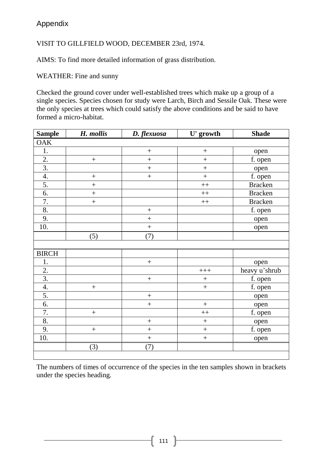VISIT TO GILLFIELD WOOD, DECEMBER 23rd, 1974.

AIMS: To find more detailed information of grass distribution.

WEATHER: Fine and sunny

Checked the ground cover under well-established trees which make up a group of a single species. Species chosen for study were Larch, Birch and Sessile Oak. These were the only species at trees which could satisfy the above conditions and be said to have formed a micro-habitat.

| <b>Sample</b>    | H. mollis      | D. flexuosa      | U' growth         | <b>Shade</b>   |
|------------------|----------------|------------------|-------------------|----------------|
| <b>OAK</b>       |                |                  |                   |                |
| $1.$             |                | $\! + \!$        | $^{+}$            | open           |
| $\overline{2}$ . | $\! + \!$      | $^{+}$           | $\ddot{}$         | f. open        |
| $\overline{3}$ . |                | $\ddot{}$        | $\ddot{}$         | open           |
| 4.               | $\! + \!$      | $^{+}$           | $\ddot{}$         | f. open        |
| 5.               | $^{+}$         |                  | $+$               | <b>Bracken</b> |
| 6.               | $\overline{+}$ |                  | $++$              | <b>Bracken</b> |
| 7.               | $^{+}$         |                  | $++$              | <b>Bracken</b> |
| 8.               |                | $^{+}$           |                   | f. open        |
| 9.               |                | $\! + \!$        |                   | open           |
| 10.              |                | $^{+}$           |                   | open           |
|                  | (5)            | (7)              |                   |                |
|                  |                |                  |                   |                |
| <b>BIRCH</b>     |                |                  |                   |                |
| 1.               |                | $\boldsymbol{+}$ |                   | open           |
| $\overline{2}$ . |                |                  | $++++$            | heavy u'shrub  |
| $\overline{3}$ . |                | $\! +$           | $\! + \!$         | f. open        |
| 4.               | $^{+}$         |                  | $\ddot{+}$        | f. open        |
| 5.               |                | $\boldsymbol{+}$ |                   | open           |
| 6.               |                | $\boldsymbol{+}$ | $\ddot{}$         | open           |
| 7.               | $\ddot{}$      |                  | $++$              | f. open        |
| 8.               |                | $\! + \!$        | $\ddot{}$         | open           |
| 9.               | $^{+}$         | $\ddot{}$        | $\qquad \qquad +$ | f. open        |
| 10.              |                | $\! + \!$        | $\ddot{}$         | open           |
|                  | (3)            | (7)              |                   |                |

The numbers of times of occurrence of the species in the ten samples shown in brackets under the species heading.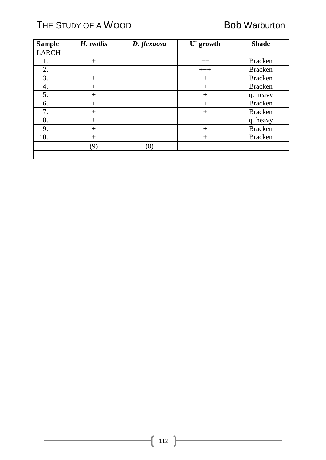# THE STUDY OF A WOOD Bob Warburton

| <b>Sample</b> | H. mollis | D. flexuosa | U' growth | <b>Shade</b>   |
|---------------|-----------|-------------|-----------|----------------|
| LARCH         |           |             |           |                |
|               | $+$       |             | $++$      | <b>Bracken</b> |
| 2.            |           |             | $+++$     | <b>Bracken</b> |
| 3.            | $+$       |             | $^{+}$    | <b>Bracken</b> |
| 4.            | $+$       |             | $^{+}$    | <b>Bracken</b> |
| 5.            | $+$       |             | $^{+}$    | q. heavy       |
| 6.            | $+$       |             | $^{+}$    | <b>Bracken</b> |
| 7.            | $^{+}$    |             | $^{+}$    | <b>Bracken</b> |
| 8.            | $+$       |             | $++$      | q. heavy       |
| 9.            | $+$       |             | $^{+}$    | <b>Bracken</b> |
| 10.           | $+$       |             | $^{+}$    | <b>Bracken</b> |
|               | (9)       | (0)         |           |                |
|               |           |             |           |                |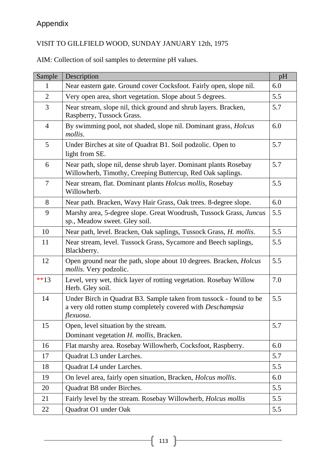# VISIT TO GILLFIELD WOOD, SUNDAY JANUARY 12th, 1975

AIM: Collection of soil samples to determine pH values.

| Sample         | Description                                                                                                                                    | pH  |
|----------------|------------------------------------------------------------------------------------------------------------------------------------------------|-----|
| $\mathbf{1}$   | Near eastern gate. Ground cover Cocksfoot. Fairly open, slope nil.                                                                             | 6.0 |
| $\overline{2}$ | Very open area, short vegetation. Slope about 5 degrees.                                                                                       | 5.5 |
| 3              | Near stream, slope nil, thick ground and shrub layers. Bracken,<br>Raspberry, Tussock Grass.                                                   | 5.7 |
| $\overline{4}$ | By swimming pool, not shaded, slope nil. Dominant grass, <i>Holcus</i><br>mollis.                                                              | 6.0 |
| 5              | Under Birches at site of Quadrat B1. Soil podzolic. Open to<br>light from SE.                                                                  | 5.7 |
| 6              | Near path, slope nil, dense shrub layer. Dominant plants Rosebay<br>Willowherb, Timothy, Creeping Buttercup, Red Oak saplings.                 | 5.7 |
| $\overline{7}$ | Near stream, flat. Dominant plants Holcus mollis, Rosebay<br>Willowherb.                                                                       | 5.5 |
| 8              | Near path. Bracken, Wavy Hair Grass, Oak trees. 8-degree slope.                                                                                | 6.0 |
| 9              | Marshy area, 5-degree slope. Great Woodrush, Tussock Grass, Juncus<br>sp., Meadow sweet. Gley soil.                                            | 5.5 |
| 10             | Near path, level. Bracken, Oak saplings, Tussock Grass, H. mollis.                                                                             | 5.5 |
| 11             | Near stream, level. Tussock Grass, Sycamore and Beech saplings,<br>Blackberry.                                                                 | 5.5 |
| 12             | Open ground near the path, slope about 10 degrees. Bracken, Holcus<br>mollis. Very podzolic.                                                   | 5.5 |
| $**13$         | Level, very wet, thick layer of rotting vegetation. Rosebay Willow<br>Herb. Gley soil.                                                         | 7.0 |
| 14             | Under Birch in Quadrat B3. Sample taken from tussock - found to be<br>a very old rotten stump completely covered with Deschampsia<br>flexuosa. | 5.5 |
| 15             | Open, level situation by the stream.<br>Dominant vegetation H. mollis, Bracken.                                                                | 5.7 |
| 16             | Flat marshy area. Rosebay Willowherb, Cocksfoot, Raspberry.                                                                                    | 6.0 |
| 17             | Quadrat L3 under Larches.                                                                                                                      | 5.7 |
| 18             | Quadrat L4 under Larches.                                                                                                                      | 5.5 |
| 19             | On level area, fairly open situation, Bracken, Holcus mollis.                                                                                  | 6.0 |
| 20             | Quadrat B8 under Birches.                                                                                                                      | 5.5 |
| 21             | Fairly level by the stream. Rosebay Willowherb, <i>Holcus mollis</i>                                                                           | 5.5 |
| 22             | Quadrat O1 under Oak                                                                                                                           | 5.5 |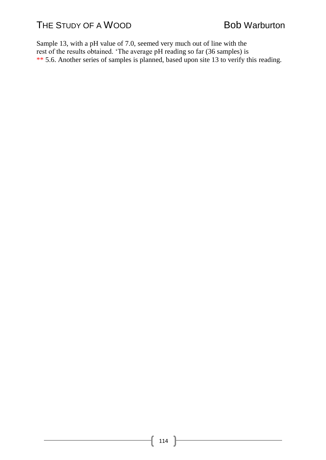Sample 13, with a pH value of 7.0, seemed very much out of line with the rest of the results obtained. 'The average pH reading so far (36 samples) is \*\* 5.6. Another series of samples is planned, based upon site 13 to verify this reading.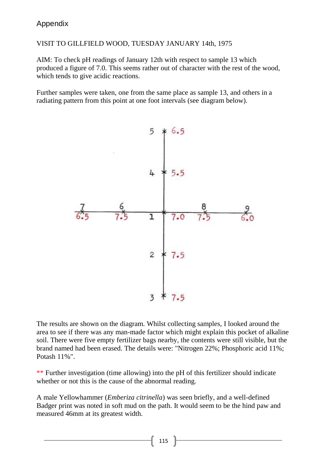### VISIT TO GILLFIELD WOOD, TUESDAY JANUARY 14th, 1975

AIM: To check pH readings of January 12th with respect to sample 13 which produced a figure of 7.0. This seems rather out of character with the rest of the wood, which tends to give acidic reactions.

Further samples were taken, one from the same place as sample 13, and others in a radiating pattern from this point at one foot intervals (see diagram below).



The results are shown on the diagram. Whilst collecting samples, I looked around the area to see if there was any man-made factor which might explain this pocket of alkaline soil. There were five empty fertilizer bags nearby, the contents were still visible, but the brand named had been erased. The details were: "Nitrogen 22%; Phosphoric acid 11%; Potash 11%".

\*\* Further investigation (time allowing) into the pH of this fertilizer should indicate whether or not this is the cause of the abnormal reading.

A male Yellowhammer (*Emberiza citrinella*) was seen briefly, and a well-defined Badger print was noted in soft mud on the path. It would seem to be the hind paw and measured 46mm at its greatest width.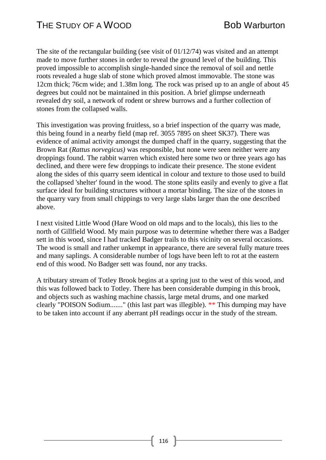The site of the rectangular building (see visit of 01/12/74) was visited and an attempt made to move further stones in order to reveal the ground level of the building. This proved impossible to accomplish single-handed since the removal of soil and nettle roots revealed a huge slab of stone which proved almost immovable. The stone was 12cm thick; 76cm wide; and 1.38m long. The rock was prised up to an angle of about 45 degrees but could not be maintained in this position. A brief glimpse underneath revealed dry soil, a network of rodent or shrew burrows and a further collection of stones from the collapsed walls.

This investigation was proving fruitless, so a brief inspection of the quarry was made, this being found in a nearby field (map ref. 3055 7895 on sheet SK37). There was evidence of animal activity amongst the dumped chaff in the quarry, suggesting that the Brown Rat (*Rattus norvegicus)* was responsible, but none were seen neither were any droppings found. The rabbit warren which existed here some two or three years ago has declined, and there were few droppings to indicate their presence. The stone evident along the sides of this quarry seem identical in colour and texture to those used to build the collapsed 'shelter' found in the wood. The stone splits easily and evenly to give a flat surface ideal for building structures without a mortar binding. The size of the stones in the quarry vary from small chippings to very large slabs larger than the one described above.

I next visited Little Wood (Hare Wood on old maps and to the locals), this lies to the north of Gillfield Wood. My main purpose was to determine whether there was a Badger sett in this wood, since I had tracked Badger trails to this vicinity on several occasions. The wood is small and rather unkempt in appearance, there are several fully mature trees and many saplings. A considerable number of logs have been left to rot at the eastern end of this wood. No Badger sett was found, nor any tracks.

A tributary stream of Totley Brook begins at a spring just to the west of this wood, and this was followed back to Totley. There has been considerable dumping in this brook, and objects such as washing machine chassis, large metal drums, and one marked clearly "POISON Sodium......." (this last part was illegible). \*\* This dumping may have to be taken into account if any aberrant pH readings occur in the study of the stream.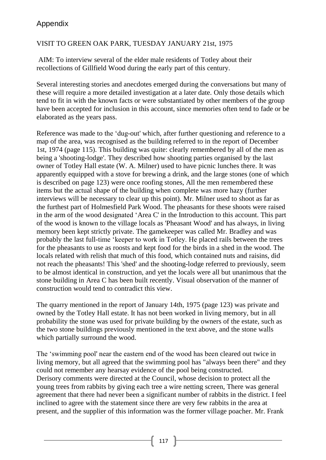### VISIT TO GREEN OAK PARK, TUESDAY JANUARY 21st, 1975

AIM: To interview several of the elder male residents of Totley about their recollections of Gillfield Wood during the early part of this century.

Several interesting stories and anecdotes emerged during the conversations but many of these will require a more detailed investigation at a later date. Only those details which tend to fit in with the known facts or were substantiated by other members of the group have been accepted for inclusion in this account, since memories often tend to fade or be elaborated as the years pass.

Reference was made to the 'dug-out' which, after further questioning and reference to a map of the area, was recognised as the building referred to in the report of December 1st, 1974 (page 115). This building was quite: clearly remembered by all of the men as being a 'shooting-lodge'. They described how shooting parties organised by the last owner of Totley Hall estate (W. A. Milner) used to have picnic lunches there. It was apparently equipped with a stove for brewing a drink, and the large stones (one of which is described on page 123) were once roofing stones, All the men remembered these items but the actual shape of the building when complete was more hazy (further interviews will be necessary to clear up this point). Mr. Milner used to shoot as far as the furthest part of Holmesfield Park Wood. The pheasants for these shoots were raised in the arm of the wood designated 'Area C' in the Introduction to this account. This part of the wood is known to the village locals as 'Pheasant Wood' and has always, in living memory been kept strictly private. The gamekeeper was called Mr. Bradley and was probably the last full-time 'keeper to work in Totley. He placed rails between the trees for the pheasants to use as roosts and kept food for the birds in a shed in the wood. The locals related with relish that much of this food, which contained nuts and raisins, did not reach the pheasants! This 'shed' and the shooting-lodge referred to previously, seem to be almost identical in construction, and yet the locals were all but unanimous that the stone building in Area C has been built recently. Visual observation of the manner of construction would tend to contradict this view.

The quarry mentioned in the report of January 14th, 1975 (page 123) was private and owned by the Totley Hall estate. It has not been worked in living memory, but in all probability the stone was used for private building by the owners of the estate, such as the two stone buildings previously mentioned in the text above, and the stone walls which partially surround the wood.

The 'swimming pool' near the eastern end of the wood has been cleared out twice in living memory, but all agreed that the swimming pool has "always been there" and they could not remember any hearsay evidence of the pool being constructed. Derisory comments were directed at the Council, whose decision to protect all the young trees from rabbits by giving each tree a wire netting screen, There was general agreement that there had never been a significant number of rabbits in the district. I feel inclined to agree with the statement since there are very few rabbits in the area at present, and the supplier of this information was the former village poacher. Mr. Frank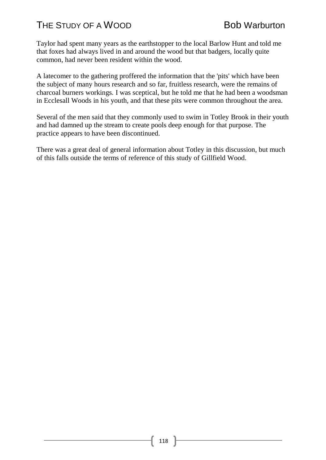Taylor had spent many years as the earthstopper to the local Barlow Hunt and told me that foxes had always lived in and around the wood but that badgers, locally quite common, had never been resident within the wood.

A latecomer to the gathering proffered the information that the 'pits' which have been the subject of many hours research and so far, fruitless research, were the remains of charcoal burners workings. I was sceptical, but he told me that he had been a woodsman in Ecclesall Woods in his youth, and that these pits were common throughout the area.

Several of the men said that they commonly used to swim in Totley Brook in their youth and had damned up the stream to create pools deep enough for that purpose. The practice appears to have been discontinued.

There was a great deal of general information about Totley in this discussion, but much of this falls outside the terms of reference of this study of Gillfield Wood.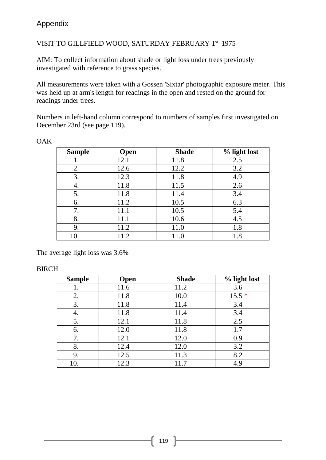### VISIT TO GILLFIELD WOOD, SATURDAY FEBRUARY 1st, 1975

AIM: To collect information about shade or light loss under trees previously investigated with reference to grass species.

All measurements were taken with a Gossen 'Sixtar' photographic exposure meter. This was held up at arm's length for readings in the open and rested on the ground for readings under trees.

Numbers in left-hand column correspond to numbers of samples first investigated on December 23rd (see page 119).

| <b>Sample</b> | Open | <b>Shade</b> | % light lost |
|---------------|------|--------------|--------------|
|               | 12.1 | 11.8         | 2.5          |
| 2.            | 12.6 | 12.2         | 3.2          |
| 3.            | 12.3 | 11.8         | 4.9          |
| 4.            | 11.8 | 11.5         | 2.6          |
| 5.            | 11.8 | 11.4         | 3.4          |
| 6.            | 11.2 | 10.5         | 6.3          |
| 7.            | 11.1 | 10.5         | 5.4          |
| 8.            | 11.1 | 10.6         | 4.5          |
| 9.            | 11.2 | 11.0         | 1.8          |
| 10.           | 11.2 | 11.0         | 1.8          |

**OAK** 

The average light loss was 3.6%

#### BIRCH

| <b>Sample</b> | <b>Open</b> | <b>Shade</b> | % light lost |
|---------------|-------------|--------------|--------------|
|               | 11.6        | 11.2         | 3.6          |
| 2.            | 11.8        | 10.0         | $15.5*$      |
| 3.            | 11.8        | 11.4         | 3.4          |
| 4.            | 11.8        | 11.4         | 3.4          |
| 5.            | 12.1        | 11.8         | 2.5          |
| 6.            | 12.0        | 11.8         | 1.7          |
| 7.            | 12.1        | 12.0         | 0.9          |
| 8.            | 12.4        | 12.0         | 3.2          |
| 9.            | 12.5        | 11.3         | 8.2          |
| 10.           | 12.3        | 11.7         | 4.9          |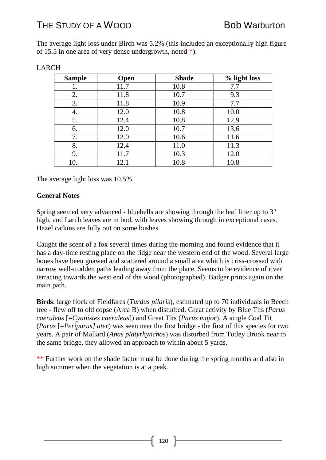The average light loss under Birch was 5.2% (this included an exceptionally high figure of 15.5 in one area of very dense undergrowth, noted \*).

| <b>Sample</b> | <b>Open</b> | <b>Shade</b> | % light loss |
|---------------|-------------|--------------|--------------|
|               | 11.7        | 10.8         | 7.7          |
| 2.            | 11.8        | 10.7         | 9.3          |
| 3.            | 11.8        | 10.9         | 7.7          |
| 4.            | 12.0        | 10.8         | 10.0         |
| 5.            | 12.4        | 10.8         | 12.9         |
| 6.            | 12.0        | 10.7         | 13.6         |
| 7.            | 12.0        | 10.6         | 11.6         |
| 8.            | 12.4        | 11.0         | 11.3         |
| 9.            | 11.7        | 10.3         | 12.0         |
| 10.           | 12.1        | 10.8         | 10.8         |

#### LARCH

The average light loss was 10.5%

#### **General Notes**

Spring seemed very advanced - bluebells are showing through the leaf litter up to 3" high, and Larch leaves are in bud, with leaves showing through in exceptional cases. Hazel catkins are fully out on some bushes.

Caught the scent of a fox several times during the morning and found evidence that it has a day-time resting place on the ridge near the western end of the wood. Several large bones have been gnawed and scattered around a small area which is criss-crossed with narrow well-trodden paths leading away from the place. Seems to be evidence of river terracing towards the west end of the wood (photographed). Badger prints again on the main path.

**Birds**: large flock of Fieldfares (*Turdus pilaris*), estimated up to 70 individuals in Beech tree - flew off to old copse (Area B) when disturbed. Great activity by Blue Tits (*Parus caeruleus* [=*Cyanistes caeruleus*]) and Great Tits (*Parus major*). A single Coal Tit (*Parus* [=*Periparus] ater*) was seen near the first bridge - the first of this species for two years. A pair of Mallard (*Anas platyrhynchos*) was disturbed from Totley Brook near to the same bridge, they allowed an approach to within about 5 yards.

\*\* Further work on the shade factor must be done during the spring months and also in high summer when the vegetation is at a peak.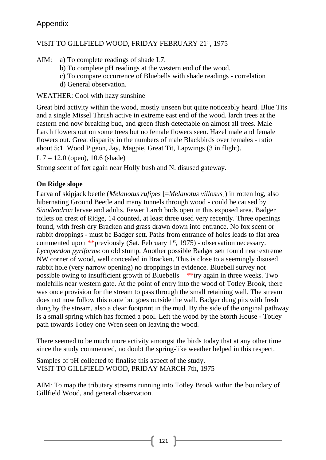### VISIT TO GILLFIELD WOOD, FRIDAY FEBRUARY 21st, 1975

AIM: a) To complete readings of shade L7.

- b) To complete pH readings at the western end of the wood.
- c) To compare occurrence of Bluebells with shade readings correlation
- d) General observation.

# WEATHER: Cool with hazy sunshine

Great bird activity within the wood, mostly unseen but quite noticeably heard. Blue Tits and a single Missel Thrush active in extreme east end of the wood. larch trees at the eastern end now breaking bud, and green flush detectable on almost all trees. Male Larch flowers out on some trees but no female flowers seen. Hazel male and female flowers out. Great disparity in the numbers of male Blackbirds over females - ratio about 5:1. Wood Pigeon, Jay, Magpie, Great Tit, Lapwings (3 in flight).

 $L$  7 = 12.0 (open), 10.6 (shade)

Strong scent of fox again near Holly bush and N. disused gateway.

# **On Ridge slope**

Larva of skipjack beetle (*Melanotus rufipes* [=*Melanotus villosus*]) in rotten log, also hibernating Ground Beetle and many tunnels through wood - could be caused by *Sinodendron* larvae and adults. Fewer Larch buds open in this exposed area. Badger toilets on crest of Ridge, 14 counted, at least three used very recently. Three openings found, with fresh dry Bracken and grass drawn down into entrance. No fox scent or rabbit droppings - must be Badger sett. Paths from entrance of holes leads to flat area commented upon \*\*previously (Sat. February  $1<sup>st</sup>$ , 1975) - observation necessary. *Lycoperdon pyriforme* on old stump. Another possible Badger sett found near extreme NW corner of wood, well concealed in Bracken. This is close to a seemingly disused rabbit hole (very narrow opening) no droppings in evidence. Bluebell survey not possible owing to insufficient growth of Bluebells  $-$  \*\*try again in three weeks. Two molehills near western gate. At the point of entry into the wood of Totley Brook, there was once provision for the stream to pass through the small retaining wall. The stream does not now follow this route but goes outside the wall. Badger dung pits with fresh dung by the stream, also a clear footprint in the mud. By the side of the original pathway is a small spring which has formed a pool. Left the wood by the Storth House - Totley path towards Totley one Wren seen on leaving the wood.

There seemed to be much more activity amongst the birds today that at any other time since the study commenced, no doubt the spring-like weather helped in this respect.

Samples of pH collected to finalise this aspect of the study. VISIT TO GILLFIELD WOOD, PRIDAY MARCH 7th, 1975

AIM: To map the tributary streams running into Totley Brook within the boundary of Gillfield Wood, and general observation.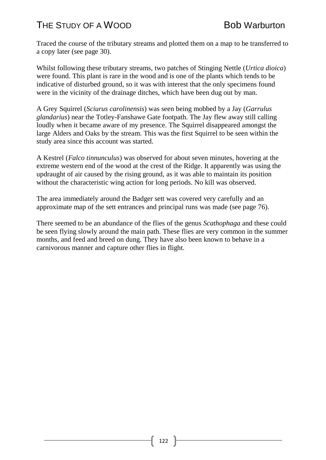Traced the course of the tributary streams and plotted them on a map to be transferred to a copy later (see page 30).

Whilst following these tributary streams, two patches of Stinging Nettle (*Urtica dioica*) were found. This plant is rare in the wood and is one of the plants which tends to be indicative of disturbed ground, so it was with interest that the only specimens found were in the vicinity of the drainage ditches, which have been dug out by man.

A Grey Squirrel (*Sciurus carolinensis*) was seen being mobbed by a Jay (*Garrulus glandarius*) near the Totley-Fanshawe Gate footpath. The Jay flew away still calling loudly when it became aware of my presence. The Squirrel disappeared amongst the large Alders and Oaks by the stream. This was the first Squirrel to be seen within the study area since this account was started.

A Kestrel (*Falco tinnunculus*) was observed for about seven minutes, hovering at the extreme western end of the wood at the crest of the Ridge. It apparently was using the updraught of air caused by the rising ground, as it was able to maintain its position without the characteristic wing action for long periods. No kill was observed.

The area immediately around the Badger sett was covered very carefully and an approximate map of the sett entrances and principal runs was made (see page 76).

There seemed to be an abundance of the flies of the genus *Scathophaga* and these could be seen flying slowly around the main path. These flies are very common in the summer months, and feed and breed on dung. They have also been known to behave in a carnivorous manner and capture other flies in flight.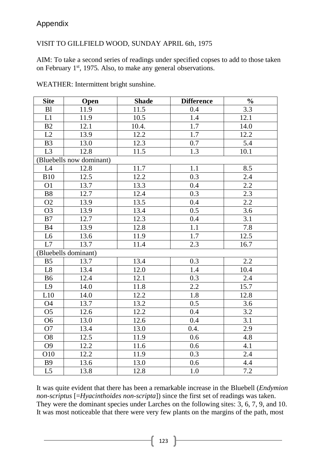#### VISIT TO GILLFIELD WOOD, SUNDAY APRIL 6th, 1975

AIM: To take a second series of readings under specified copses to add to those taken on February 1<sup>st</sup>, 1975. Also, to make any general observations.

| <b>Site</b>     | Open                     | <b>Shade</b> | <b>Difference</b> | $\frac{0}{0}$    |
|-----------------|--------------------------|--------------|-------------------|------------------|
| B <sub>1</sub>  | 11.9                     | 11.5         | 0.4               | 3.3              |
| L1              | 11.9                     | 10.5         | 1.4               | 12.1             |
| B2              | 12.1                     | 10.4.        | 1.7               | 14.0             |
| L2              | 13.9                     | 12.2         | 1.7               | 12.2             |
| B <sub>3</sub>  | 13.0                     | 12.3         | 0.7               | 5.4              |
| L3              | 12.8                     | 11.5         | 1.3               | 10.1             |
|                 | (Bluebells now dominant) |              |                   |                  |
| L4              | 12.8                     | 11.7         | 1.1               | 8.5              |
| <b>B10</b>      | 12.5                     | 12.2         | 0.3               | 2.4              |
| O <sub>1</sub>  | 13.7                     | 13.3         | 0.4               | 2.2              |
| <b>B8</b>       | 12.7                     | 12.4         | 0.3               | 2.3              |
| O <sub>2</sub>  | 13.9                     | 13.5         | 0.4               | $2.2\,$          |
| O <sub>3</sub>  | 13.9                     | 13.4         | 0.5               | 3.6              |
| B7              | 12.7                     | 12.3         | 0.4               | 3.1              |
| <b>B4</b>       | 13.9                     | 12.8         | 1.1               | 7.8              |
| L <sub>6</sub>  | 13.6                     | 11.9         | 1.7               | 12.5             |
| L7              | 13.7                     | 11.4         | 2.3               | 16.7             |
|                 | (Bluebells dominant)     |              |                   |                  |
| B <sub>5</sub>  | 13.7                     | 13.4         | 0.3               | 2.2              |
| L8              | 13.4                     | 12.0         | 1.4               | 10.4             |
| <b>B6</b>       | 12.4                     | 12.1         | 0.3               | 2.4              |
| L9              | 14.0                     | 11.8         | 2.2               | 15.7             |
| L10             | 14.0                     | 12.2         | 1.8               | 12.8             |
| <b>O4</b>       | 13.7                     | 13.2         | 0.5               | 3.6              |
| O <sub>5</sub>  | 12.6                     | 12.2         | 0.4               | 3.2              |
| O <sub>6</sub>  | 13.0                     | 12.6         | 0.4               | $\overline{3.1}$ |
| O <sub>7</sub>  | 13.4                     | 13.0         | 0.4.              | 2.9              |
| O <sub>8</sub>  | 12.5                     | 11.9         | 0.6               | 4.8              |
| O <sub>9</sub>  | 12.2                     | 11.6         | 0.6               | 4.1              |
| O10             | 12.2                     | 11.9         | 0.3               | $2.4\,$          |
| <b>B9</b>       | 13.6                     | 13.0         | 0.6               | 4.4              |
| $\overline{L5}$ | 13.8                     | 12.8         | 1.0               | $\overline{7.2}$ |

WEATHER: Intermittent bright sunshine.

It was quite evident that there has been a remarkable increase in the Bluebell (*Endymion non-scriptus* [=*Hyacinthoides non-scripta*]) since the first set of readings was taken. They were the dominant species under Larches on the following sites: 3, 6, 7, 9, and 10. It was most noticeable that there were very few plants on the margins of the path, most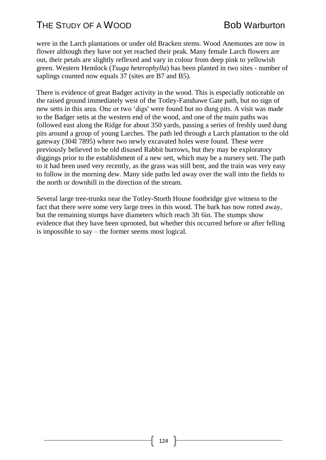were in the Larch plantations or under old Bracken stems. Wood Anemones are now in flower although they have not yet reached their peak. Many female Larch flowers are out, their petals are slightly reflexed and vary in colour from deep pink to yellowish green. Western Hemlock (*Tsuga heterophylla*) has been planted in two sites - number of saplings counted now equals 37 (sites are B7 and B5).

There is evidence of great Badger activity in the wood. This is especially noticeable on the raised ground immediately west of the Totley-Fanshawe Gate path, but no sign of new setts in this area. One or two 'digs' were found but no dung pits. A visit was made to the Badger setts at the western end of the wood, and one of the main paths was followed east along the Ridge for about 350 yards, passing a series of freshly used dung pits around a group of young Larches. The path led through a Larch plantation to the old gateway (304l 7895) where two newly excavated holes were found. These were previously believed to be old disused Rabbit burrows, but they may be exploratory diggings prior to the establishment of a new sett, which may be a nursery sett. The path to it had been used very recently, as the grass was still bent, and the train was very easy to follow in the morning dew. Many side paths led away over the wall into the fields to the north or downhill in the direction of the stream.

Several large tree-trunks near the Totley-Storth House footbridge give witness to the fact that there were some very large trees in this wood. The bark has now rotted away, but the remaining stumps have diameters which reach 3ft 6in. The stumps show evidence that they have been uprooted, but whether this occurred before or after felling is impossible to say – the former seems most logical.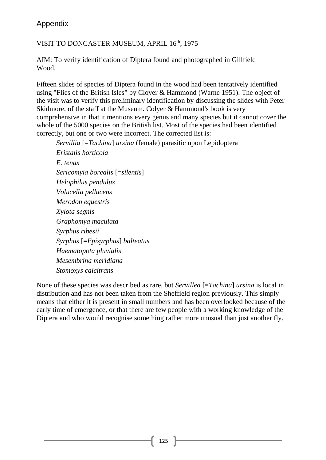# VISIT TO DONCASTER MUSEUM, APRIL 16th, 1975

AIM: To verify identification of Diptera found and photographed in Gillfield Wood.

Fifteen slides of species of Diptera found in the wood had been tentatively identified using "Flies of the British Isles" by Cloyer & Hammond (Warne 1951). The object of the visit was to verify this preliminary identification by discussing the slides with Peter Skidmore, of the staff at the Museum. Colyer & Hammond's book is very comprehensive in that it mentions every genus and many species but it cannot cover the whole of the 5000 species on the British list. Most of the species had been identified correctly, but one or two were incorrect. The corrected list is:

*Servillia* [=*Tachina*] *ursina* (female) parasitic upon Lepidoptera *Eristalis horticola E. tenax Sericomyia borealis* [=*silentis*] *Helophilus pendulus Volucella pellucens Merodon equestris Xylota segnis Graphomya maculata Syrphus ribesii Syrphus* [=*Episyrphus*] *balteatus Haematopota pluvialis Mesembrina meridiana Stomoxys calcitrans*

None of these species was described as rare, but *Servillea* [=*Tachina*] *ursina* is local in distribution and has not been taken from the Sheffield region previously. This simply means that either it is present in small numbers and has been overlooked because of the early time of emergence, or that there are few people with a working knowledge of the Diptera and who would recognise something rather more unusual than just another fly.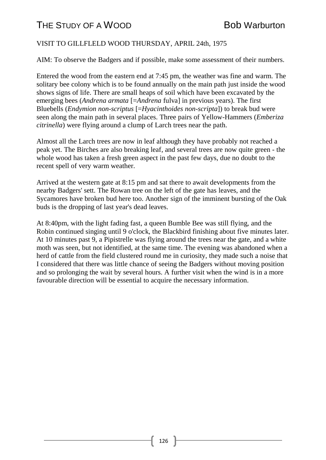### VISIT TO GILLFLELD WOOD THURSDAY, APRIL 24th, 1975

AIM: To observe the Badgers and if possible, make some assessment of their numbers.

Entered the wood from the eastern end at 7:45 pm, the weather was fine and warm. The solitary bee colony which is to be found annually on the main path just inside the wood shows signs of life. There are small heaps of soil which have been excavated by the emerging bees (*Andrena armata* [=*Andrena* fulva] in previous years). The first Bluebells (*Endymion non-scriptus* [=*Hyacinthoides non-scripta*]) to break bud were seen along the main path in several places. Three pairs of Yellow-Hammers (*Emberiza citrinella*) were flying around a clump of Larch trees near the path.

Almost all the Larch trees are now in leaf although they have probably not reached a peak yet. The Birches are also breaking leaf, and several trees are now quite green - the whole wood has taken a fresh green aspect in the past few days, due no doubt to the recent spell of very warm weather.

Arrived at the western gate at 8:15 pm and sat there to await developments from the nearby Badgers' sett. The Rowan tree on the left of the gate has leaves, and the Sycamores have broken bud here too. Another sign of the imminent bursting of the Oak buds is the dropping of last year's dead leaves.

At 8:40pm, with the light fading fast, a queen Bumble Bee was still flying, and the Robin continued singing until 9 o'clock, the Blackbird finishing about five minutes later. At 10 minutes past 9, a Pipistrelle was flying around the trees near the gate, and a white moth was seen, but not identified, at the same time. The evening was abandoned when a herd of cattle from the field clustered round me in curiosity, they made such a noise that I considered that there was little chance of seeing the Badgers without moving position and so prolonging the wait by several hours. A further visit when the wind is in a more favourable direction will be essential to acquire the necessary information.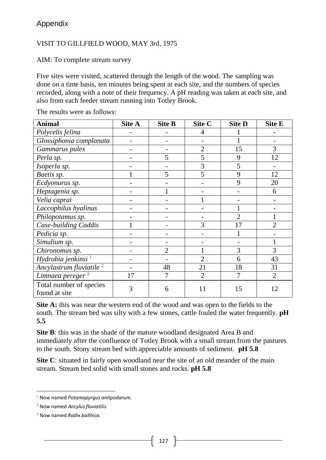#### VISIT TO GILLFIELD WOOD, MAY 3rd, 1975

AIM: To complete stream survey

Five sites were visited, scattered through the length of the wood. The sampling was done on a time basis, ten minutes being spent at each site, and the numbers of species recorded, along with a note of their frequency. A pH reading was taken at each site, and also from each feeder stream running into Totley Brook.

| <b>Animal</b>                            | Site A | <b>Site B</b>  | Site C         | <b>Site D</b>               | <b>Site E</b>               |
|------------------------------------------|--------|----------------|----------------|-----------------------------|-----------------------------|
| Polycelis felina                         |        |                | 4              |                             |                             |
| Glossiphonia complanata                  |        |                |                |                             |                             |
| Gammarus pulex                           |        |                | $\overline{2}$ | 15                          | 3                           |
| Perla sp.                                |        | 5              | 5              | 9                           | 12                          |
| Isoperla sp.                             |        |                | 3              | 5                           |                             |
| Baetis sp.                               |        | 5              | 5              | 9                           | 12                          |
| Ecdyonurus sp.                           |        |                |                | 9                           | 20                          |
| Heptagenia sp.                           |        |                |                |                             | 6                           |
| Velia caprai                             |        |                |                |                             |                             |
| Laccophilus hyalinus                     |        |                |                |                             |                             |
| Philopotamus sp.                         |        |                |                | $\mathcal{D}_{\mathcal{L}}$ |                             |
| Case-building Caddis                     |        |                | 3              | 17                          | $\mathcal{D}_{\mathcal{L}}$ |
| Pedicia sp.                              |        |                |                |                             |                             |
| Simulium sp.                             |        |                |                |                             |                             |
| Chironomus sp.                           |        | $\overline{2}$ |                | 3                           | 3                           |
| Hydrobia jenkinsi <sup>1</sup>           |        |                | $\overline{2}$ | 6                           | 43                          |
| Ancylastrum fluviatile <sup>2</sup>      |        | 48             | 21             | 18                          | 31                          |
| Limnaea pereger <sup>3</sup>             | 17     |                | $\overline{2}$ |                             | $\overline{2}$              |
| Total number of species<br>found at site | 3      | 6              | 11             | 15                          | 12                          |

The results were as follows:

**Site A:** this was near the western end of the wood and was open to the fields to the south. The stream bed was silty with a few stones, cattle fouled the water frequently. **pH 5.5**

**Site B**: this was in the shade of the mature woodland designated Area B and immediately after the confluence of Totley Brook with a small stream from the pastures to the south. Stony stream bed with appreciable amounts of sediment. **pH 5.8**

**Site C**: situated in fairly open woodland near the site of an old meander of the main stream. Stream bed solid with small stones and rocks. **pH 5.8**

1

<sup>1</sup> Now named *Potamopyrgus anitpodarum.*

<sup>2</sup> Now named *Ancylus fluviatilis*.

<sup>3</sup> Now named *Radix balthica.*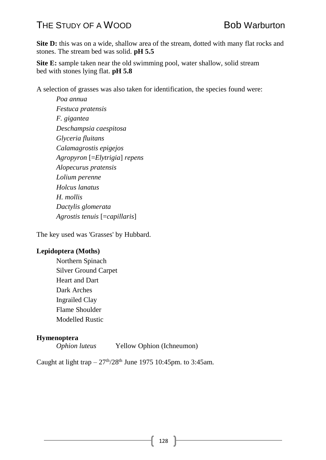**Site D:** this was on a wide, shallow area of the stream, dotted with many flat rocks and stones. The stream bed was solid. **pH 5.5**

**Site E:** sample taken near the old swimming pool, water shallow, solid stream bed with stones lying flat. **pH 5.8**

A selection of grasses was also taken for identification, the species found were:

*Poa annua Festuca pratensis F. gigantea Deschampsia caespitosa Glyceria fluitans Calamagrostis epigejos Agropyron* [=*Elytrigia*] *repens Alopecurus pratensis Lolium perenne Holcus lanatus H. mollis Dactylis glomerata Agrostis tenuis* [=*capillaris*]

The key used was 'Grasses' by Hubbard.

#### **Lepidoptera (Moths)**

Northern Spinach Silver Ground Carpet Heart and Dart Dark Arches Ingrailed Clay Flame Shoulder Modelled Rustic

#### **Hymenoptera**

*Ophion luteus* Yellow Ophion (Ichneumon)

Caught at light trap  $-27<sup>th</sup>/28<sup>th</sup>$  June 1975 10:45pm. to 3:45am.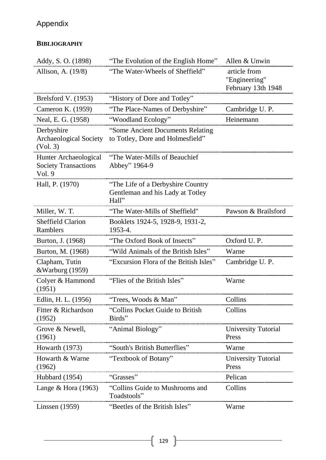# **BIBLIOGRAPHY**

| Addy, S. O. (1898)                                             | "The Evolution of the English Home"                                             | Allen & Unwin                                                 |
|----------------------------------------------------------------|---------------------------------------------------------------------------------|---------------------------------------------------------------|
| Allison, A. (19/8)                                             | "The Water-Wheels of Sheffield"                                                 | article from<br>"Engineering"<br>February 13th 1948           |
| Brelsford V. (1953)                                            | "History of Dore and Totley"                                                    |                                                               |
| Cameron K. (1959)                                              | "The Place-Names of Derbyshire"                                                 | Cambridge U.P.                                                |
| Neal, E. G. (1958)                                             | "Woodland Ecology"                                                              | Heinemann                                                     |
| Derbyshire<br>Archaeological Society<br>(Vol. 3)               | "Some Ancient Documents Relating<br>to Totley, Dore and Holmesfield"            |                                                               |
| Hunter Archaeological<br><b>Society Transactions</b><br>Vol. 9 | "The Water-Mills of Beauchief"<br>Abbey" 1964-9                                 |                                                               |
| Hall, P. (1970)                                                | "The Life of a Derbyshire Country"<br>Gentleman and his Lady at Totley<br>Hall" |                                                               |
| Miller, W. T.                                                  | "The Water-Mills of Sheffield"                                                  | Pawson & Brailsford                                           |
| <b>Sheffield Clarion</b><br>Ramblers                           | Booklets 1924-5, 1928-9, 1931-2,<br>1953-4.                                     |                                                               |
| Burton, J. (1968)                                              | "The Oxford Book of Insects"                                                    | Oxford U.P.                                                   |
| Burton, M. (1968)                                              | "Wild Animals of the British Isles"                                             | Warne                                                         |
| Clapham, Tutin<br>&Warburg (1959)                              | "Excursion Flora of the British Isles"                                          | Cambridge U.P.                                                |
| Colyer & Hammond<br>(1951)                                     | "Flies of the British Isles"                                                    | Warne                                                         |
| Edlin, H. L. (1956)                                            | "Trees, Woods & Man"                                                            | Collins                                                       |
| (1952)                                                         | Fitter & Richardson "Collins Pocket Guide to British Collins"<br>Birds"         |                                                               |
| Grove & Newell,<br>(1961)                                      | "Animal Biology"                                                                | <b>University Tutorial</b><br>Press                           |
|                                                                | Howarth (1973) "South's British Butterflies"                                    | Warne                                                         |
| Howarth & Warne<br>(1962)                                      | "Textbook of Botany"                                                            | University Tutorial<br>Press<br>----------------------------- |
| Hubbard (1954) "Grasses"                                       |                                                                                 | Pelican<br>-------------------------------                    |
| Lange & Hora $(1963)$                                          | "Collins Guide to Mushrooms and<br>Toadstools"                                  | Collins                                                       |
| Linssen (1959)                                                 | "Beetles of the British Isles"                                                  | Warne                                                         |